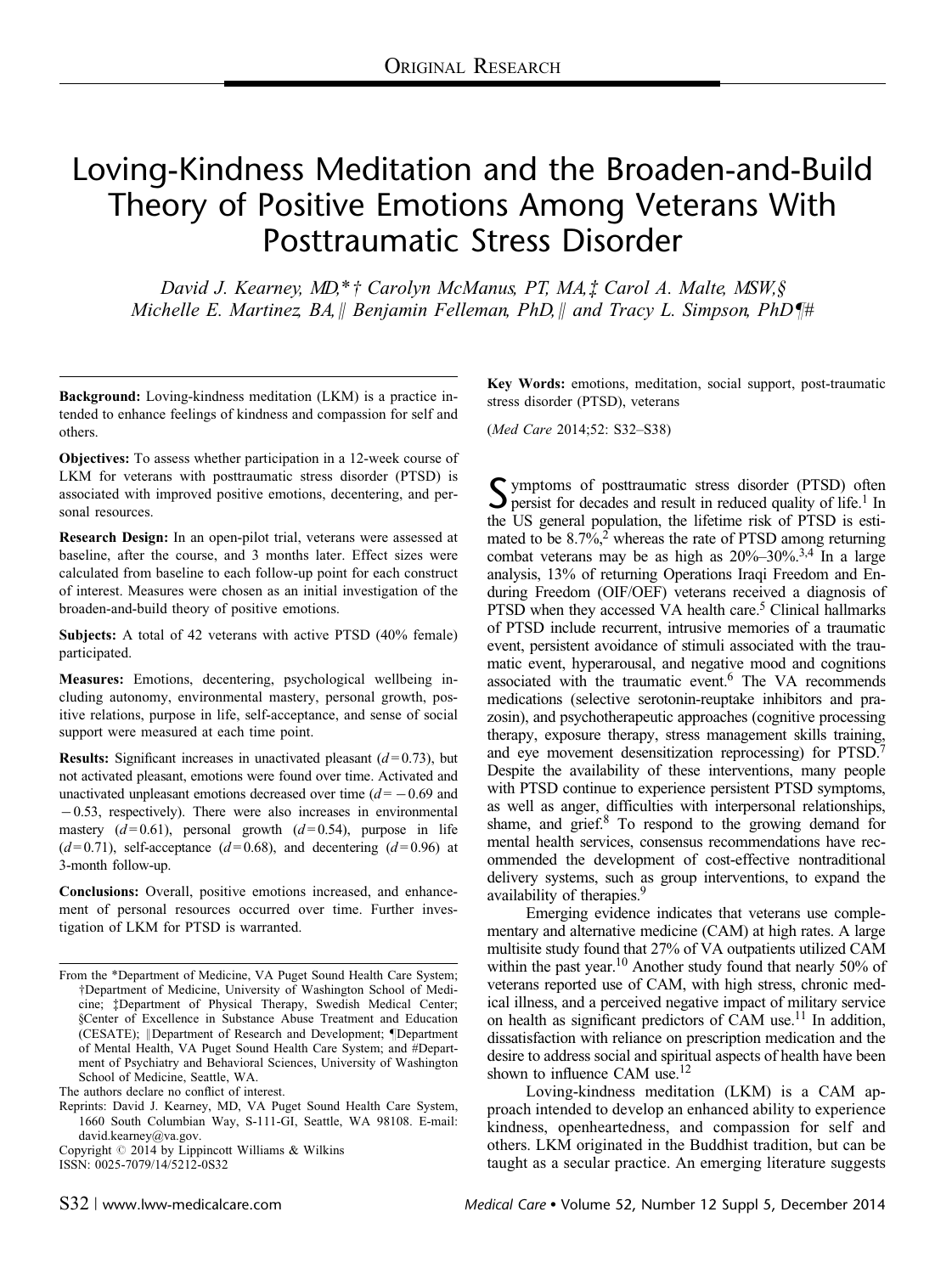# Loving-Kindness Meditation and the Broaden-and-Build Theory of Positive Emotions Among Veterans With Posttraumatic Stress Disorder

*David J. Kearney, MD,\*† Carolyn McManus, PT, MA,‡ Carol A. Malte, MSW,§ Michelle E. Martinez, BA, || Benjamin Felleman, PhD, || and Tracy L. Simpson, PhD* 

**Background:** Loving-kindness meditation (LKM) is a practice intended to enhance feelings of kindness and compassion for self and others.

**Objectives:** To assess whether participation in a 12-week course of LKM for veterans with posttraumatic stress disorder (PTSD) is associated with improved positive emotions, decentering, and personal resources.

**Research Design:** In an open-pilot trial, veterans were assessed at baseline, after the course, and 3 months later. Effect sizes were calculated from baseline to each follow-up point for each construct of interest. Measures were chosen as an initial investigation of the broaden-and-build theory of positive emotions.

**Subjects:** A total of 42 veterans with active PTSD (40% female) participated.

**Measures:** Emotions, decentering, psychological wellbeing including autonomy, environmental mastery, personal growth, positive relations, purpose in life, self-acceptance, and sense of social support were measured at each time point.

**Results:** Significant increases in unactivated pleasant  $(d=0.73)$ , but not activated pleasant, emotions were found over time. Activated and unactivated unpleasant emotions decreased over time  $(d = -0.69)$  and -0.53, respectively). There were also increases in environmental mastery  $(d=0.61)$ , personal growth  $(d=0.54)$ , purpose in life  $(d=0.71)$ , self-acceptance  $(d=0.68)$ , and decentering  $(d=0.96)$  at 3-month follow-up.

**Conclusions:** Overall, positive emotions increased, and enhancement of personal resources occurred over time. Further investigation of LKM for PTSD is warranted.

The authors declare no conflict of interest.

Reprints: David J. Kearney, MD, VA Puget Sound Health Care System, 1660 South Columbian Way, S-111-GI, Seattle, WA 98108. E-mail: [david.kearney@va.gov](mailto:david.kearney@va.gov).

Copyright  $\odot$  2014 by Lippincott Williams & Wilkins

ISSN: 0025-7079/14/5212-0S32

**Key Words:** emotions, meditation, social support, post-traumatic stress disorder (PTSD), veterans

(*Med Care* 2014;52: S32–S38)

Symptoms of posttraumatic stress disorder (PTSD) often<br>persist for decades and result in reduced quality of life.<sup>[1](#page-5-0)</sup> In the US general population, the lifetime risk of PTSD is estimated to be  $8.7\frac{\dot{6}}{6}$ , whereas the rate of PTSD among returning combat veterans may be as high as  $20\% - 30\%$ ,  $3.4$  In a large analysis, 13% of returning Operations Iraqi Freedom and Enduring Freedom (OIF/OEF) veterans received a diagnosis of PTSD when they accessed VA health care.<sup>5</sup> Clinical hallmarks of PTSD include recurrent, intrusive memories of a traumatic event, persistent avoidance of stimuli associated with the traumatic event, hyperarousal, and negative mood and cognitions associated with the traumatic event[.6](#page-5-0) The VA recommends medications (selective serotonin-reuptake inhibitors and prazosin), and psychotherapeutic approaches (cognitive processing therapy, exposure therapy, stress management skills training, and eye movement desensitization reprocessing) for PTSD.[7](#page-5-0) Despite the availability of these interventions, many people with PTSD continue to experience persistent PTSD symptoms, as well as anger, difficulties with interpersonal relationships, shame, and grief. $8$  To respond to the growing demand for mental health services, consensus recommendations have recommended the development of cost-effective nontraditional delivery systems, such as group interventions, to expand the availability of therapies.<sup>[9](#page-5-0)</sup>

Emerging evidence indicates that veterans use complementary and alternative medicine (CAM) at high rates. A large multisite study found that 27% of VA outpatients utilized CAM within the past year.<sup>10</sup> Another study found that nearly 50% of veterans reported use of CAM, with high stress, chronic medical illness, and a perceived negative impact of military service on health as significant predictors of CAM use.<sup>11</sup> In addition, dissatisfaction with reliance on prescription medication and the desire to address social and spiritual aspects of health have been shown to influence CAM use. $^{12}$ 

Loving-kindness meditation (LKM) is a CAM approach intended to develop an enhanced ability to experience kindness, openheartedness, and compassion for self and others. LKM originated in the Buddhist tradition, but can be taught as a secular practice. An emerging literature suggests

From the \*Department of Medicine, VA Puget Sound Health Care System; †Department of Medicine, University of Washington School of Medicine; #Department of Physical Therapy, Swedish Medical Center; yCenter of Excellence in Substance Abuse Treatment and Education (CESATE); *Department of Research and Development*; *Department* of Mental Health, VA Puget Sound Health Care System; and #Department of Psychiatry and Behavioral Sciences, University of Washington School of Medicine, Seattle, WA.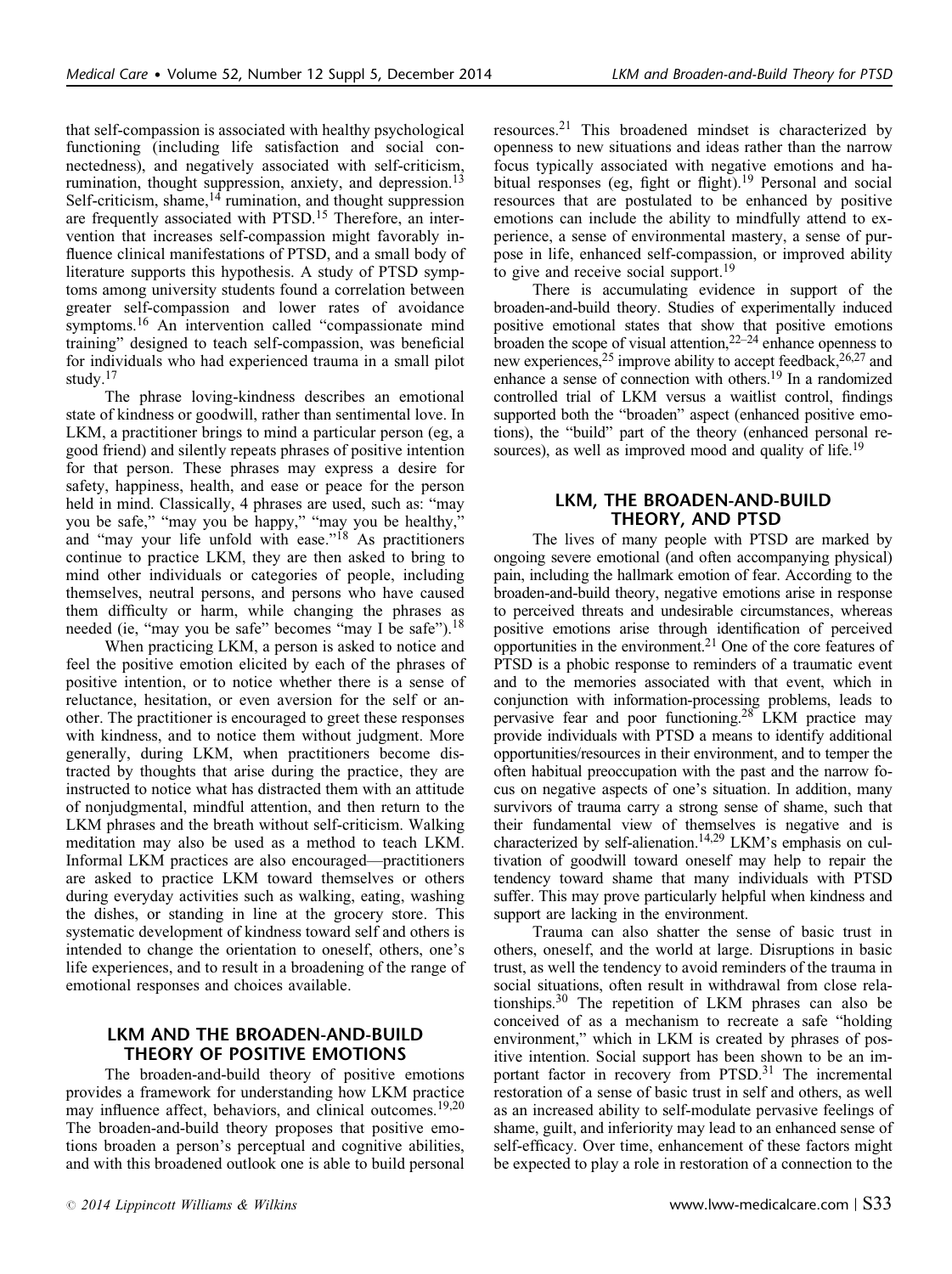that self-compassion is associated with healthy psychological functioning (including life satisfaction and social connectedness), and negatively associated with self-criticism, rumination, thought suppression, anxiety, and depression.<sup>[13](#page-5-0)</sup> Self-criticism, shame, $14$  rumination, and thought suppression are frequently associated with PTSD.<sup>[15](#page-5-0)</sup> Therefore, an intervention that increases self-compassion might favorably influence clinical manifestations of PTSD, and a small body of literature supports this hypothesis. A study of PTSD symptoms among university students found a correlation between greater self-compassion and lower rates of avoidance symptoms.<sup>[16](#page-5-0)</sup> An intervention called "compassionate mind" training" designed to teach self-compassion, was beneficial for individuals who had experienced trauma in a small pilot study. $17$ 

The phrase loving-kindness describes an emotional state of kindness or goodwill, rather than sentimental love. In LKM, a practitioner brings to mind a particular person (eg, a good friend) and silently repeats phrases of positive intention for that person. These phrases may express a desire for safety, happiness, health, and ease or peace for the person held in mind. Classically, 4 phrases are used, such as: "may you be safe," "may you be happy," "may you be healthy," and "may your life unfold with ease."<sup>[18](#page-5-0)</sup> As practitioners continue to practice LKM, they are then asked to bring to mind other individuals or categories of people, including themselves, neutral persons, and persons who have caused them difficulty or harm, while changing the phrases as needed (ie, "may you be safe" becomes "may I be safe").<sup>[18](#page-5-0)</sup>

When practicing LKM, a person is asked to notice and feel the positive emotion elicited by each of the phrases of positive intention, or to notice whether there is a sense of reluctance, hesitation, or even aversion for the self or another. The practitioner is encouraged to greet these responses with kindness, and to notice them without judgment. More generally, during LKM, when practitioners become distracted by thoughts that arise during the practice, they are instructed to notice what has distracted them with an attitude of nonjudgmental, mindful attention, and then return to the LKM phrases and the breath without self-criticism. Walking meditation may also be used as a method to teach LKM. Informal LKM practices are also encouraged—practitioners are asked to practice LKM toward themselves or others during everyday activities such as walking, eating, washing the dishes, or standing in line at the grocery store. This systematic development of kindness toward self and others is intended to change the orientation to oneself, others, one's life experiences, and to result in a broadening of the range of emotional responses and choices available.

# LKM AND THE BROADEN-AND-BUILD THEORY OF POSITIVE EMOTIONS

The broaden-and-build theory of positive emotions provides a framework for understanding how LKM practice may influence affect, behaviors, and clinical outcomes.<sup>[19,20](#page-5-0)</sup> The broaden-and-build theory proposes that positive emotions broaden a person's perceptual and cognitive abilities, and with this broadened outlook one is able to build personal resources.[21](#page-5-0) This broadened mindset is characterized by openness to new situations and ideas rather than the narrow focus typically associated with negative emotions and ha-bitual responses (eg, fight or flight).<sup>[19](#page-5-0)</sup> Personal and social resources that are postulated to be enhanced by positive emotions can include the ability to mindfully attend to experience, a sense of environmental mastery, a sense of purpose in life, enhanced self-compassion, or improved ability to give and receive social support.<sup>[19](#page-5-0)</sup>

There is accumulating evidence in support of the broaden-and-build theory. Studies of experimentally induced positive emotional states that show that positive emotions broaden the scope of visual attention, $2^{2-24}$  enhance openness to new experiences,<sup>25</sup> improve ability to accept feedback,<sup>26,27</sup> and enhance a sense of connection with others[.19](#page-5-0) In a randomized controlled trial of LKM versus a waitlist control, findings supported both the "broaden" aspect (enhanced positive emotions), the "build" part of the theory (enhanced personal resources), as well as improved mood and quality of life.<sup>19</sup>

# LKM, THE BROADEN-AND-BUILD THEORY, AND PTSD

The lives of many people with PTSD are marked by ongoing severe emotional (and often accompanying physical) pain, including the hallmark emotion of fear. According to the broaden-and-build theory, negative emotions arise in response to perceived threats and undesirable circumstances, whereas positive emotions arise through identification of perceived opportunities in the environment.<sup>21</sup> One of the core features of PTSD is a phobic response to reminders of a traumatic event and to the memories associated with that event, which in conjunction with information-processing problems, leads to pervasive fear and poor functioning.[28](#page-6-0) LKM practice may provide individuals with PTSD a means to identify additional opportunities/resources in their environment, and to temper the often habitual preoccupation with the past and the narrow focus on negative aspects of one's situation. In addition, many survivors of trauma carry a strong sense of shame, such that their fundamental view of themselves is negative and is characterized by self-alienation.<sup>14,29</sup> LKM's emphasis on cultivation of goodwill toward oneself may help to repair the tendency toward shame that many individuals with PTSD suffer. This may prove particularly helpful when kindness and support are lacking in the environment.

Trauma can also shatter the sense of basic trust in others, oneself, and the world at large. Disruptions in basic trust, as well the tendency to avoid reminders of the trauma in social situations, often result in withdrawal from close relationships.[30](#page-6-0) The repetition of LKM phrases can also be conceived of as a mechanism to recreate a safe "holding environment," which in LKM is created by phrases of positive intention. Social support has been shown to be an im-portant factor in recovery from PTSD.<sup>[31](#page-6-0)</sup> The incremental restoration of a sense of basic trust in self and others, as well as an increased ability to self-modulate pervasive feelings of shame, guilt, and inferiority may lead to an enhanced sense of self-efficacy. Over time, enhancement of these factors might be expected to play a role in restoration of a connection to the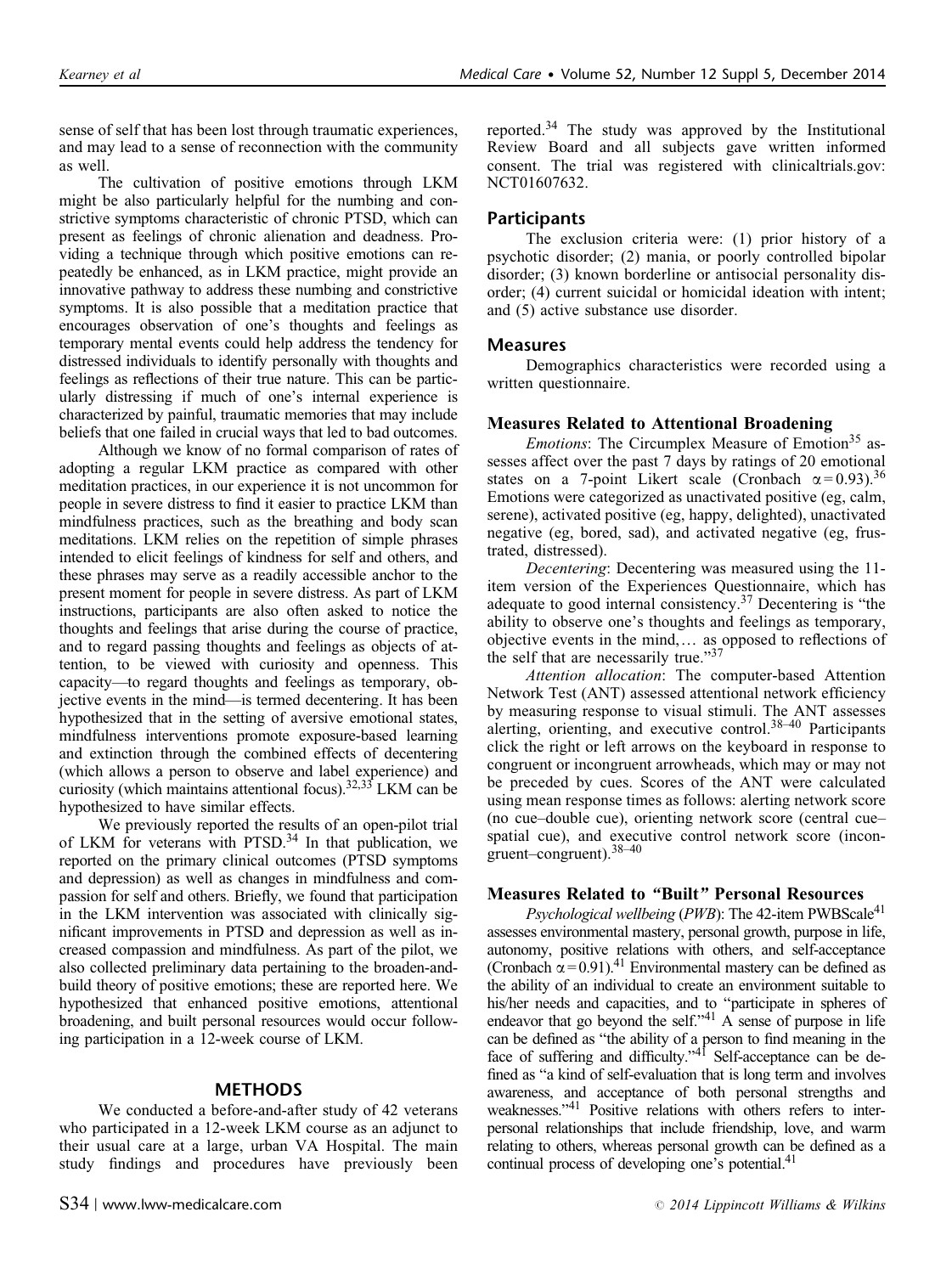sense of self that has been lost through traumatic experiences, and may lead to a sense of reconnection with the community as well.

The cultivation of positive emotions through LKM might be also particularly helpful for the numbing and constrictive symptoms characteristic of chronic PTSD, which can present as feelings of chronic alienation and deadness. Providing a technique through which positive emotions can repeatedly be enhanced, as in LKM practice, might provide an innovative pathway to address these numbing and constrictive symptoms. It is also possible that a meditation practice that encourages observation of one's thoughts and feelings as temporary mental events could help address the tendency for distressed individuals to identify personally with thoughts and feelings as reflections of their true nature. This can be particularly distressing if much of one's internal experience is characterized by painful, traumatic memories that may include beliefs that one failed in crucial ways that led to bad outcomes.

Although we know of no formal comparison of rates of adopting a regular LKM practice as compared with other meditation practices, in our experience it is not uncommon for people in severe distress to find it easier to practice LKM than mindfulness practices, such as the breathing and body scan meditations. LKM relies on the repetition of simple phrases intended to elicit feelings of kindness for self and others, and these phrases may serve as a readily accessible anchor to the present moment for people in severe distress. As part of LKM instructions, participants are also often asked to notice the thoughts and feelings that arise during the course of practice, and to regard passing thoughts and feelings as objects of attention, to be viewed with curiosity and openness. This capacity—to regard thoughts and feelings as temporary, objective events in the mind—is termed decentering. It has been hypothesized that in the setting of aversive emotional states, mindfulness interventions promote exposure-based learning and extinction through the combined effects of decentering (which allows a person to observe and label experience) and curiosity (which maintains attentional focus).<sup>[32,33](#page-6-0)</sup> LKM can be hypothesized to have similar effects.

We previously reported the results of an open-pilot trial of LKM for veterans with PTSD.<sup>34</sup> In that publication, we reported on the primary clinical outcomes (PTSD symptoms and depression) as well as changes in mindfulness and compassion for self and others. Briefly, we found that participation in the LKM intervention was associated with clinically significant improvements in PTSD and depression as well as increased compassion and mindfulness. As part of the pilot, we also collected preliminary data pertaining to the broaden-andbuild theory of positive emotions; these are reported here. We hypothesized that enhanced positive emotions, attentional broadening, and built personal resources would occur following participation in a 12-week course of LKM.

# **METHODS**

We conducted a before-and-after study of 42 veterans who participated in a 12-week LKM course as an adjunct to their usual care at a large, urban VA Hospital. The main study findings and procedures have previously been

reported.[34](#page-6-0) The study was approved by the Institutional Review Board and all subjects gave written informed consent. The trial was registered with clinicaltrials.gov: NCT01607632.

# **Participants**

The exclusion criteria were: (1) prior history of a psychotic disorder; (2) mania, or poorly controlled bipolar disorder; (3) known borderline or antisocial personality disorder; (4) current suicidal or homicidal ideation with intent; and (5) active substance use disorder.

#### Measures

Demographics characteristics were recorded using a written questionnaire.

## **Measures Related to Attentional Broadening**

*Emotions*: The Circumplex Measure of Emotion<sup>[35](#page-6-0)</sup> assesses affect over the past 7 days by ratings of 20 emotional states on a 7-point Likert scale (Cronbach  $\alpha = 0.93$ ).<sup>[36](#page-6-0)</sup> Emotions were categorized as unactivated positive (eg, calm, serene), activated positive (eg, happy, delighted), unactivated negative (eg, bored, sad), and activated negative (eg, frustrated, distressed).

*Decentering*: Decentering was measured using the 11 item version of the Experiences Questionnaire, which has adequate to good internal consistency.[37](#page-6-0) Decentering is "the ability to observe one's thoughts and feelings as temporary, objective events in the mind, $\dots$  as opposed to reflections of the self that are necessarily true."<sup>[37](#page-6-0)</sup>

*Attention allocation*: The computer-based Attention Network Test (ANT) assessed attentional network efficiency by measuring response to visual stimuli. The ANT assesses alerting, orienting, and executive control.[38–40](#page-6-0) Participants click the right or left arrows on the keyboard in response to congruent or incongruent arrowheads, which may or may not be preceded by cues. Scores of the ANT were calculated using mean response times as follows: alerting network score (no cue–double cue), orienting network score (central cue– spatial cue), and executive control network score (incongruent–congruent).[38–40](#page-6-0)

# **Measures Related to "Built" Personal Resources**

*Psychological wellbeing* (*PWB*): The 42-item PWBScale<sup>41</sup> assesses environmental mastery, personal growth, purpose in life, autonomy, positive relations with others, and self-acceptance (Cronbach  $\alpha$  = 0.91).<sup>41</sup> Environmental mastery can be defined as the ability of an individual to create an environment suitable to his/her needs and capacities, and to "participate in spheres of endeavor that go beyond the self."<sup>41</sup> A sense of purpose in life can be defined as "the ability of a person to find meaning in the face of suffering and difficulty."<sup>41</sup> Self-acceptance can be defined as "a kind of self-evaluation that is long term and involves awareness, and acceptance of both personal strengths and weaknesses."<sup>[41](#page-6-0)</sup> Positive relations with others refers to interpersonal relationships that include friendship, love, and warm relating to others, whereas personal growth can be defined as a continual process of developing one's potential.<sup>[41](#page-6-0)</sup>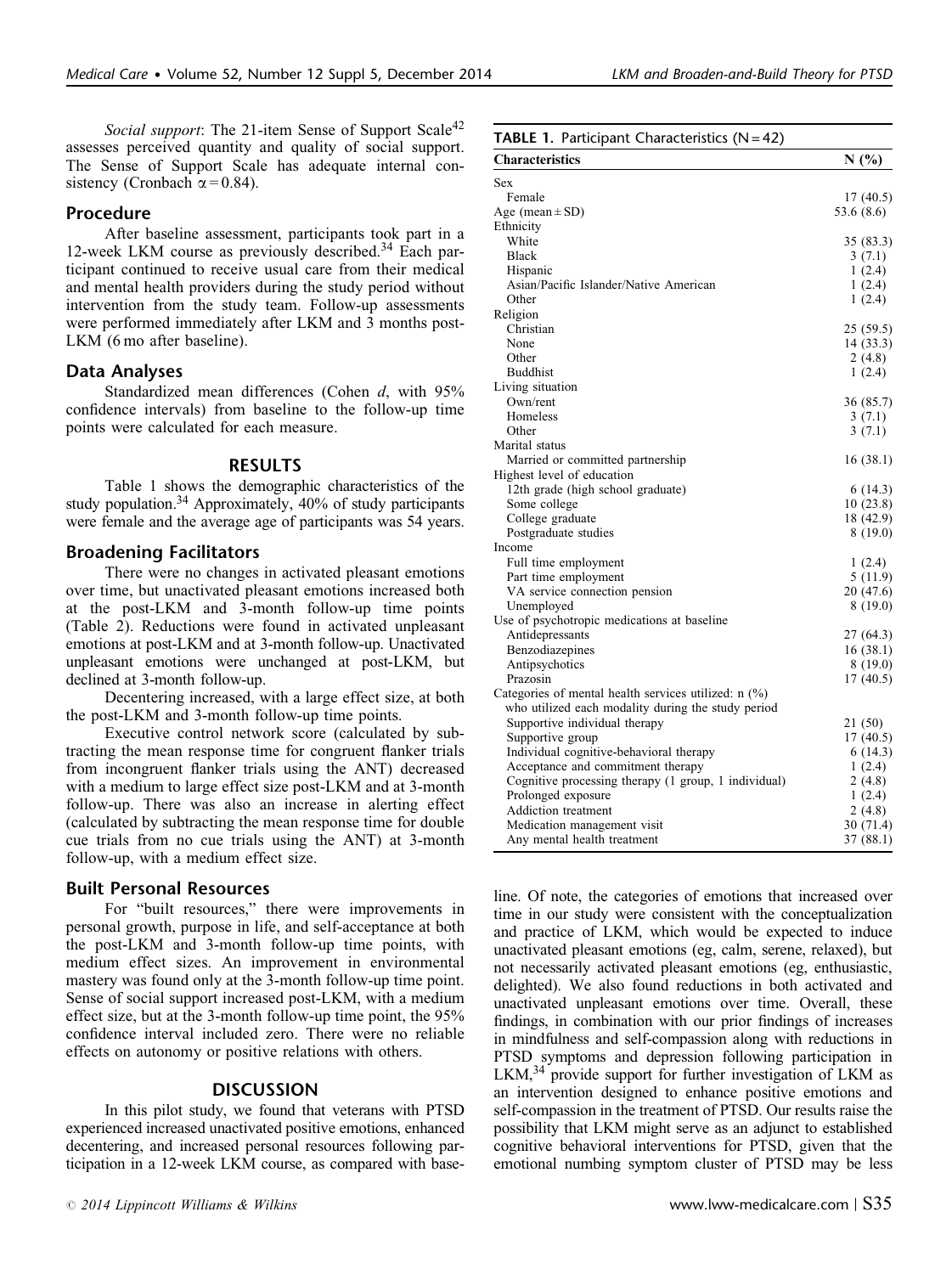<span id="page-3-0"></span>*Social support*: The 21-item Sense of Support Scale<sup>[42](#page-6-0)</sup> assesses perceived quantity and quality of social support. The Sense of Support Scale has adequate internal consistency (Cronbach  $\alpha$  = 0.84).

# Procedure

After baseline assessment, participants took part in a 12-week LKM course as previously described.<sup>[34](#page-6-0)</sup> Each participant continued to receive usual care from their medical and mental health providers during the study period without intervention from the study team. Follow-up assessments were performed immediately after LKM and 3 months post-LKM (6 mo after baseline).

# Data Analyses

Standardized mean differences (Cohen *d*, with 95% confidence intervals) from baseline to the follow-up time points were calculated for each measure.

## RESULTS

Table 1 shows the demographic characteristics of the study population.<sup>34</sup> Approximately,  $40\%$  of study participants were female and the average age of participants was 54 years.

# Broadening Facilitators

There were no changes in activated pleasant emotions over time, but unactivated pleasant emotions increased both at the post-LKM and 3-month follow-up time points ([Table 2](#page-4-0)). Reductions were found in activated unpleasant emotions at post-LKM and at 3-month follow-up. Unactivated unpleasant emotions were unchanged at post-LKM, but declined at 3-month follow-up.

Decentering increased, with a large effect size, at both the post-LKM and 3-month follow-up time points.

Executive control network score (calculated by subtracting the mean response time for congruent flanker trials from incongruent flanker trials using the ANT) decreased with a medium to large effect size post-LKM and at 3-month follow-up. There was also an increase in alerting effect (calculated by subtracting the mean response time for double cue trials from no cue trials using the ANT) at 3-month follow-up, with a medium effect size.

# Built Personal Resources

For "built resources," there were improvements in personal growth, purpose in life, and self-acceptance at both the post-LKM and 3-month follow-up time points, with medium effect sizes. An improvement in environmental mastery was found only at the 3-month follow-up time point. Sense of social support increased post-LKM, with a medium effect size, but at the 3-month follow-up time point, the 95% confidence interval included zero. There were no reliable effects on autonomy or positive relations with others.

#### **DISCUSSION**

In this pilot study, we found that veterans with PTSD experienced increased unactivated positive emotions, enhanced decentering, and increased personal resources following participation in a 12-week LKM course, as compared with base**TABLE 1.** Participant Characteristics  $(N = 42)$ 

| <b>Characteristics</b>                                 | N(%        |
|--------------------------------------------------------|------------|
| Sex                                                    |            |
| Female                                                 | 17(40.5)   |
| Age (mean $\pm$ SD)                                    | 53.6 (8.6) |
| Ethnicity                                              |            |
| White                                                  | 35 (83.3)  |
| <b>Black</b>                                           | 3(7.1)     |
| Hispanic                                               | 1(2.4)     |
| Asian/Pacific Islander/Native American                 | 1(2.4)     |
| Other                                                  | 1(2.4)     |
| Religion                                               |            |
| Christian                                              | 25(59.5)   |
| None                                                   | 14 (33.3)  |
| Other                                                  | 2(4.8)     |
| <b>Buddhist</b>                                        | 1(2.4)     |
| Living situation                                       |            |
| Own/rent                                               | 36 (85.7)  |
| Homeless                                               | 3(7.1)     |
| Other                                                  | 3 (7.1)    |
| Marital status                                         |            |
| Married or committed partnership                       | 16(38.1)   |
| Highest level of education                             |            |
| 12th grade (high school graduate)                      | 6(14.3)    |
| Some college                                           | 10(23.8)   |
| College graduate                                       | 18 (42.9)  |
| Postgraduate studies                                   | 8(19.0)    |
| Income                                                 |            |
| Full time employment                                   | 1(2.4)     |
| Part time employment                                   | 5(11.9)    |
| VA service connection pension                          | 20 (47.6)  |
| Unemployed                                             | 8(19.0)    |
| Use of psychotropic medications at baseline            |            |
| Antidepressants                                        | 27 (64.3)  |
| Benzodiazepines                                        | 16(38.1)   |
| Antipsychotics                                         | 8(19.0)    |
| Prazosin                                               | 17 (40.5)  |
| Categories of mental health services utilized: $n$ (%) |            |
| who utilized each modality during the study period     |            |
| Supportive individual therapy                          | 21 (50)    |
| Supportive group                                       | 17(40.5)   |
| Individual cognitive-behavioral therapy                | 6(14.3)    |
| Acceptance and commitment therapy                      | 1(2.4)     |
| Cognitive processing therapy (1 group, 1 individual)   | 2 (4.8)    |
| Prolonged exposure                                     | 1(2.4)     |
| <b>Addiction</b> treatment                             | 2(4.8)     |
| Medication management visit                            | 30 (71.4)  |
| Any mental health treatment                            | 37 (88.1)  |

line. Of note, the categories of emotions that increased over time in our study were consistent with the conceptualization and practice of LKM, which would be expected to induce unactivated pleasant emotions (eg, calm, serene, relaxed), but not necessarily activated pleasant emotions (eg, enthusiastic, delighted). We also found reductions in both activated and unactivated unpleasant emotions over time. Overall, these findings, in combination with our prior findings of increases in mindfulness and self-compassion along with reductions in PTSD symptoms and depression following participation in  $LKM<sup>34</sup>$  $LKM<sup>34</sup>$  $LKM<sup>34</sup>$  provide support for further investigation of LKM as an intervention designed to enhance positive emotions and self-compassion in the treatment of PTSD. Our results raise the possibility that LKM might serve as an adjunct to established cognitive behavioral interventions for PTSD, given that the emotional numbing symptom cluster of PTSD may be less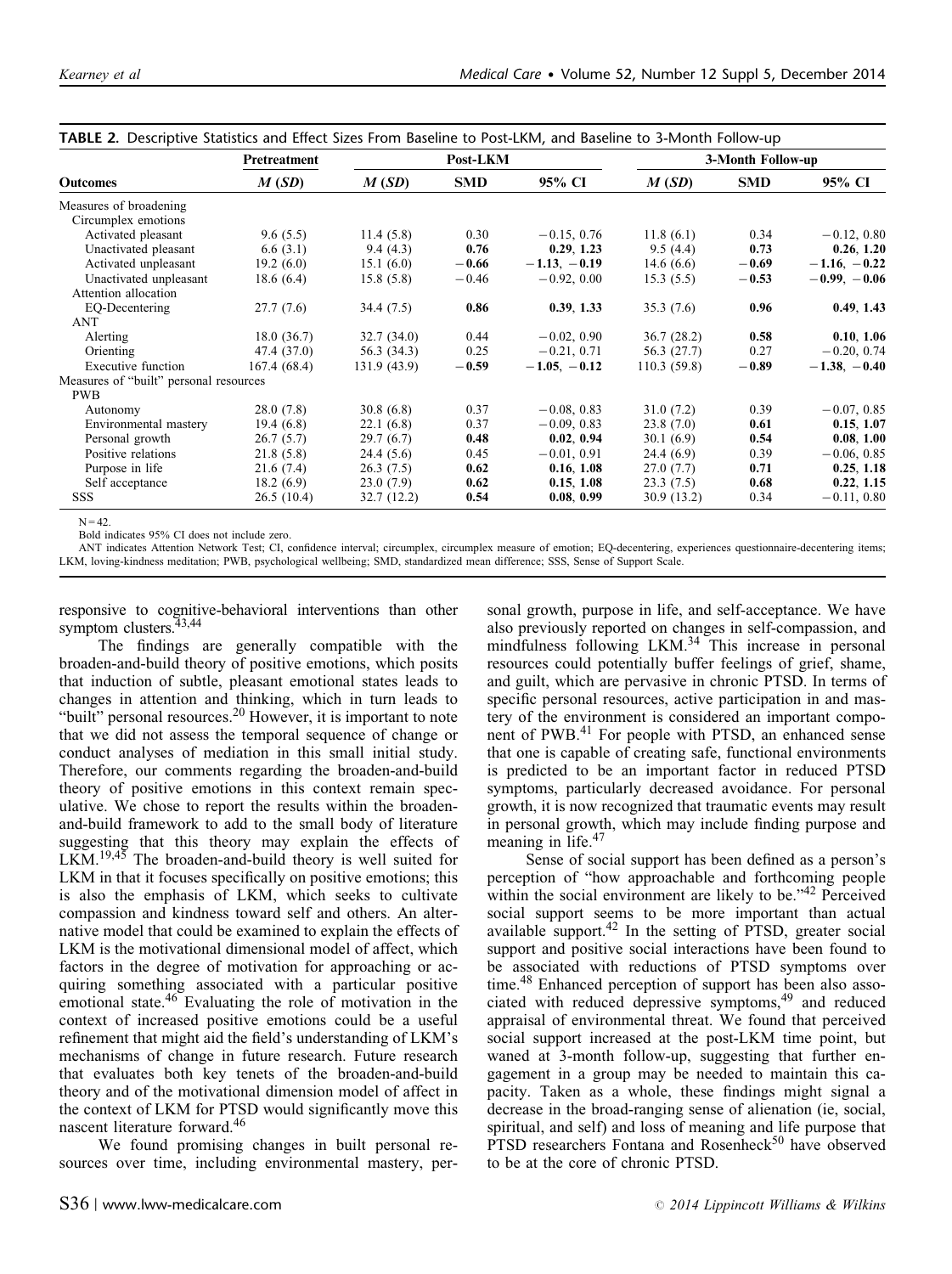| <b>Outcomes</b>                        | <b>Pretreatment</b><br>M(SD) | Post-LKM    |            |                | 3-Month Follow-up |            |                |
|----------------------------------------|------------------------------|-------------|------------|----------------|-------------------|------------|----------------|
|                                        |                              | M(SD)       | <b>SMD</b> | 95% CI         | M(SD)             | <b>SMD</b> | 95% CI         |
| Measures of broadening                 |                              |             |            |                |                   |            |                |
| Circumplex emotions                    |                              |             |            |                |                   |            |                |
| Activated pleasant                     | 9.6(5.5)                     | 11.4(5.8)   | 0.30       | $-0.15, 0.76$  | 11.8(6.1)         | 0.34       | $-0.12, 0.80$  |
| Unactivated pleasant                   | 6.6(3.1)                     | 9.4(4.3)    | 0.76       | 0.29, 1.23     | 9.5(4.4)          | 0.73       | 0.26, 1.20     |
| Activated unpleasant                   | 19.2(6.0)                    | 15.1(6.0)   | $-0.66$    | $-1.13, -0.19$ | 14.6(6.6)         | $-0.69$    | $-1.16, -0.22$ |
| Unactivated unpleasant                 | 18.6(6.4)                    | 15.8(5.8)   | $-0.46$    | $-0.92, 0.00$  | 15.3(5.5)         | $-0.53$    | $-0.99, -0.06$ |
| Attention allocation                   |                              |             |            |                |                   |            |                |
| EQ-Decentering                         | 27.7(7.6)                    | 34.4(7.5)   | 0.86       | 0.39, 1.33     | 35.3(7.6)         | 0.96       | 0.49, 1.43     |
| <b>ANT</b>                             |                              |             |            |                |                   |            |                |
| Alerting                               | 18.0(36.7)                   | 32.7(34.0)  | 0.44       | $-0.02, 0.90$  | 36.7(28.2)        | 0.58       | 0.10, 1.06     |
| Orienting                              | 47.4 (37.0)                  | 56.3 (34.3) | 0.25       | $-0.21, 0.71$  | 56.3 (27.7)       | 0.27       | $-0.20, 0.74$  |
| Executive function                     | 167.4(68.4)                  | 131.9(43.9) | $-0.59$    | $-1.05, -0.12$ | 110.3(59.8)       | $-0.89$    | $-1.38, -0.40$ |
| Measures of "built" personal resources |                              |             |            |                |                   |            |                |
| <b>PWB</b>                             |                              |             |            |                |                   |            |                |
| Autonomy                               | 28.0(7.8)                    | 30.8(6.8)   | 0.37       | $-0.08, 0.83$  | 31.0(7.2)         | 0.39       | $-0.07, 0.85$  |
| Environmental mastery                  | 19.4(6.8)                    | 22.1(6.8)   | 0.37       | $-0.09, 0.83$  | 23.8(7.0)         | 0.61       | 0.15, 1.07     |
| Personal growth                        | 26.7(5.7)                    | 29.7(6.7)   | 0.48       | 0.02, 0.94     | 30.1(6.9)         | 0.54       | 0.08, 1.00     |
| Positive relations                     | 21.8(5.8)                    | 24.4 (5.6)  | 0.45       | $-0.01, 0.91$  | 24.4(6.9)         | 0.39       | $-0.06, 0.85$  |
| Purpose in life                        | 21.6(7.4)                    | 26.3(7.5)   | 0.62       | 0.16, 1.08     | 27.0(7.7)         | 0.71       | 0.25, 1.18     |
| Self acceptance                        | 18.2(6.9)                    | 23.0(7.9)   | 0.62       | 0.15, 1.08     | 23.3(7.5)         | 0.68       | 0.22, 1.15     |
| SSS                                    | 26.5(10.4)                   | 32.7(12.2)  | 0.54       | 0.08, 0.99     | 30.9(13.2)        | 0.34       | $-0.11, 0.80$  |

<span id="page-4-0"></span>

 $N = 42.$ 

Bold indicates 95% CI does not include zero.

ANT indicates Attention Network Test; CI, confidence interval; circumplex, circumplex measure of emotion; EQ-decentering, experiences questionnaire-decentering items; LKM, loving-kindness meditation; PWB, psychological wellbeing; SMD, standardized mean difference; SSS, Sense of Support Scale.

responsive to cognitive-behavioral interventions than other symptom clusters.<sup>[43,44](#page-6-0)</sup>

The findings are generally compatible with the broaden-and-build theory of positive emotions, which posits that induction of subtle, pleasant emotional states leads to changes in attention and thinking, which in turn leads to "built" personal resources.<sup>[20](#page-5-0)</sup> However, it is important to note that we did not assess the temporal sequence of change or conduct analyses of mediation in this small initial study. Therefore, our comments regarding the broaden-and-build theory of positive emotions in this context remain speculative. We chose to report the results within the broadenand-build framework to add to the small body of literature suggesting that this theory may explain the effects of LKM.<sup>[19,45](#page-5-0)</sup> The broaden-and-build theory is well suited for LKM in that it focuses specifically on positive emotions; this is also the emphasis of LKM, which seeks to cultivate compassion and kindness toward self and others. An alternative model that could be examined to explain the effects of LKM is the motivational dimensional model of affect, which factors in the degree of motivation for approaching or acquiring something associated with a particular positive emotional state.[46](#page-6-0) Evaluating the role of motivation in the context of increased positive emotions could be a useful refinement that might aid the field's understanding of LKM's mechanisms of change in future research. Future research that evaluates both key tenets of the broaden-and-build theory and of the motivational dimension model of affect in the context of LKM for PTSD would significantly move this nascent literature forward.[46](#page-6-0)

We found promising changes in built personal resources over time, including environmental mastery, personal growth, purpose in life, and self-acceptance. We have also previously reported on changes in self-compassion, and mindfulness following LKM.<sup>[34](#page-6-0)</sup> This increase in personal resources could potentially buffer feelings of grief, shame, and guilt, which are pervasive in chronic PTSD. In terms of specific personal resources, active participation in and mastery of the environment is considered an important compo-nent of PWB.<sup>[41](#page-6-0)</sup> For people with PTSD, an enhanced sense that one is capable of creating safe, functional environments is predicted to be an important factor in reduced PTSD symptoms, particularly decreased avoidance. For personal growth, it is now recognized that traumatic events may result in personal growth, which may include finding purpose and meaning in life.<sup>[47](#page-6-0)</sup>

Sense of social support has been defined as a person's perception of "how approachable and forthcoming people within the social environment are likely to be."<sup>[42](#page-6-0)</sup> Perceived social support seems to be more important than actual available support.[42](#page-6-0) In the setting of PTSD, greater social support and positive social interactions have been found to be associated with reductions of PTSD symptoms over time.<sup>[48](#page-6-0)</sup> Enhanced perception of support has been also asso-ciated with reduced depressive symptoms,<sup>[49](#page-6-0)</sup> and reduced appraisal of environmental threat. We found that perceived social support increased at the post-LKM time point, but waned at 3-month follow-up, suggesting that further engagement in a group may be needed to maintain this capacity. Taken as a whole, these findings might signal a decrease in the broad-ranging sense of alienation (ie, social, spiritual, and self) and loss of meaning and life purpose that PTSD researchers Fontana and Rosenheck<sup>[50](#page-6-0)</sup> have observed to be at the core of chronic PTSD.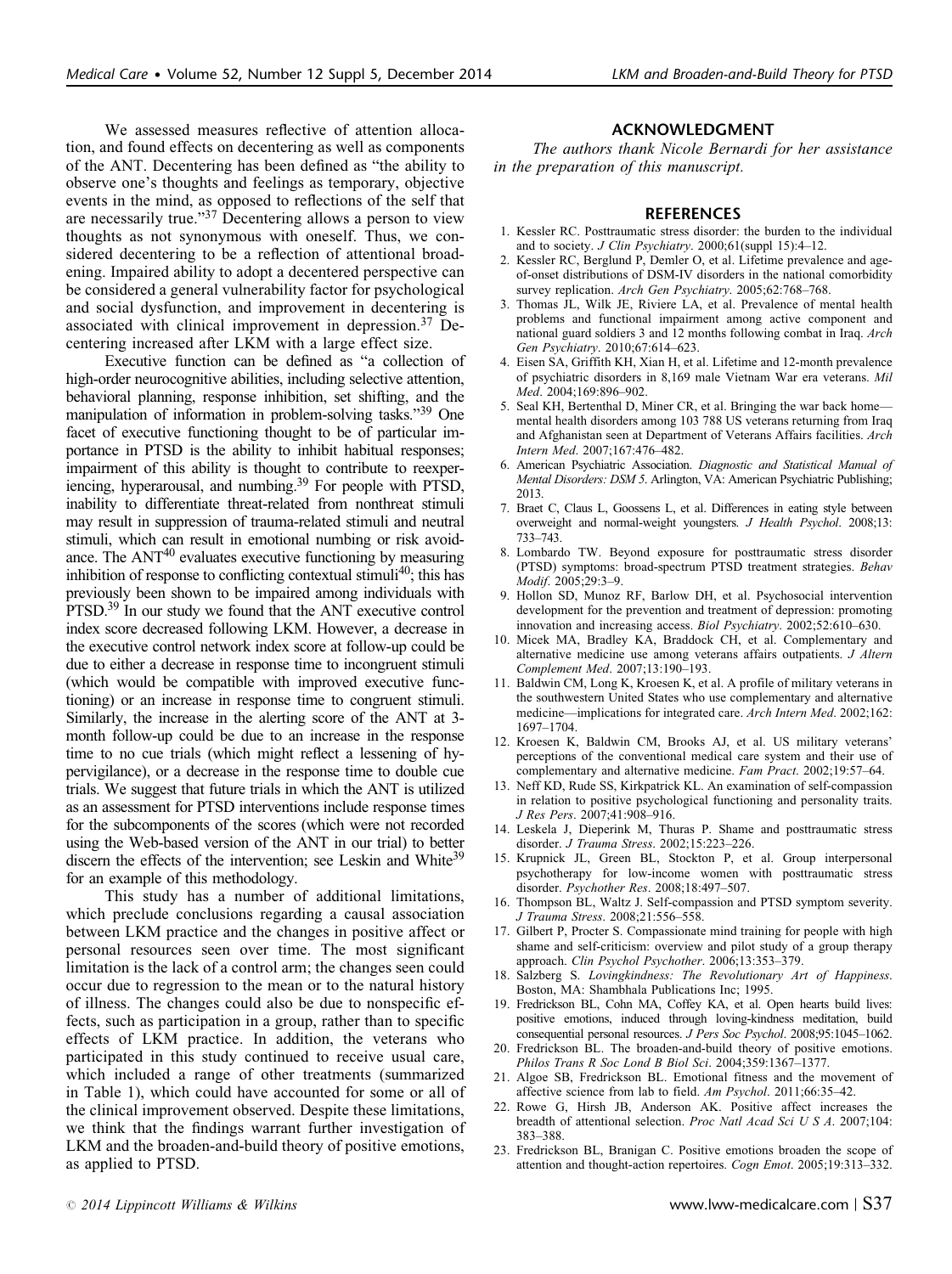<span id="page-5-0"></span>We assessed measures reflective of attention allocation, and found effects on decentering as well as components of the ANT. Decentering has been defined as "the ability to observe one's thoughts and feelings as temporary, objective events in the mind, as opposed to reflections of the self that are necessarily true.["37](#page-6-0) Decentering allows a person to view thoughts as not synonymous with oneself. Thus, we considered decentering to be a reflection of attentional broadening. Impaired ability to adopt a decentered perspective can be considered a general vulnerability factor for psychological and social dysfunction, and improvement in decentering is associated with clinical improvement in depression.<sup>[37](#page-6-0)</sup> Decentering increased after LKM with a large effect size.

Executive function can be defined as "a collection of high-order neurocognitive abilities, including selective attention, behavioral planning, response inhibition, set shifting, and the manipulation of information in problem-solving tasks.["39](#page-6-0) One facet of executive functioning thought to be of particular importance in PTSD is the ability to inhibit habitual responses; impairment of this ability is thought to contribute to reexperiencing, hyperarousal, and numbing.<sup>39</sup> For people with PTSD, inability to differentiate threat-related from nonthreat stimuli may result in suppression of trauma-related stimuli and neutral stimuli, which can result in emotional numbing or risk avoidance. The  $ANT^{40}$  evaluates executive functioning by measuring inhibition of response to conflicting contextual stimuli<sup>40</sup>; this has previously been shown to be impaired among individuals with PTSD.<sup>39</sup> In our study we found that the ANT executive control index score decreased following LKM. However, a decrease in the executive control network index score at follow-up could be due to either a decrease in response time to incongruent stimuli (which would be compatible with improved executive functioning) or an increase in response time to congruent stimuli. Similarly, the increase in the alerting score of the ANT at 3 month follow-up could be due to an increase in the response time to no cue trials (which might reflect a lessening of hypervigilance), or a decrease in the response time to double cue trials. We suggest that future trials in which the ANT is utilized as an assessment for PTSD interventions include response times for the subcomponents of the scores (which were not recorded using the Web-based version of the ANT in our trial) to better discern the effects of the intervention; see Leskin and White<sup>39</sup> for an example of this methodology.

This study has a number of additional limitations, which preclude conclusions regarding a causal association between LKM practice and the changes in positive affect or personal resources seen over time. The most significant limitation is the lack of a control arm; the changes seen could occur due to regression to the mean or to the natural history of illness. The changes could also be due to nonspecific effects, such as participation in a group, rather than to specific effects of LKM practice. In addition, the veterans who participated in this study continued to receive usual care, which included a range of other treatments (summarized in [Table 1](#page-3-0)), which could have accounted for some or all of the clinical improvement observed. Despite these limitations, we think that the findings warrant further investigation of LKM and the broaden-and-build theory of positive emotions, as applied to PTSD.

## ACKNOWLEDGMENT

*The authors thank Nicole Bernardi for her assistance in the preparation of this manuscript.*

#### **REFERENCES**

- 1. Kessler RC. Posttraumatic stress disorder: the burden to the individual and to society. *J Clin Psychiatry*. 2000;61(suppl 15):4–12.
- 2. Kessler RC, Berglund P, Demler O, et al. Lifetime prevalence and ageof-onset distributions of DSM-IV disorders in the national comorbidity survey replication. *Arch Gen Psychiatry*. 2005;62:768–768.
- 3. Thomas JL, Wilk JE, Riviere LA, et al. Prevalence of mental health problems and functional impairment among active component and national guard soldiers 3 and 12 months following combat in Iraq. *Arch Gen Psychiatry*. 2010;67:614–623.
- 4. Eisen SA, Griffith KH, Xian H, et al. Lifetime and 12-month prevalence of psychiatric disorders in 8,169 male Vietnam War era veterans. *Mil Med*. 2004;169:896–902.
- 5. Seal KH, Bertenthal D, Miner CR, et al. Bringing the war back home mental health disorders among 103 788 US veterans returning from Iraq and Afghanistan seen at Department of Veterans Affairs facilities. *Arch Intern Med*. 2007;167:476–482.
- 6. American Psychiatric Association. *Diagnostic and Statistical Manual of Mental Disorders: DSM 5*. Arlington, VA: American Psychiatric Publishing; 2013.
- 7. Braet C, Claus L, Goossens L, et al. Differences in eating style between overweight and normal-weight youngsters. *J Health Psychol*. 2008;13: 733–743.
- 8. Lombardo TW. Beyond exposure for posttraumatic stress disorder (PTSD) symptoms: broad-spectrum PTSD treatment strategies. *Behav Modif*. 2005;29:3–9.
- 9. Hollon SD, Munoz RF, Barlow DH, et al. Psychosocial intervention development for the prevention and treatment of depression: promoting innovation and increasing access. *Biol Psychiatry*. 2002;52:610–630.
- 10. Micek MA, Bradley KA, Braddock CH, et al. Complementary and alternative medicine use among veterans affairs outpatients. *J Altern Complement Med*. 2007;13:190–193.
- 11. Baldwin CM, Long K, Kroesen K, et al. A profile of military veterans in the southwestern United States who use complementary and alternative medicine—implications for integrated care. *Arch Intern Med*. 2002;162: 1697–1704.
- 12. Kroesen K, Baldwin CM, Brooks AJ, et al. US military veterans' perceptions of the conventional medical care system and their use of complementary and alternative medicine. *Fam Pract*. 2002;19:57–64.
- 13. Neff KD, Rude SS, Kirkpatrick KL. An examination of self-compassion in relation to positive psychological functioning and personality traits. *J Res Pers*. 2007;41:908–916.
- 14. Leskela J, Dieperink M, Thuras P. Shame and posttraumatic stress disorder. *J Trauma Stress*. 2002;15:223–226.
- 15. Krupnick JL, Green BL, Stockton P, et al. Group interpersonal psychotherapy for low-income women with posttraumatic stress disorder. *Psychother Res*. 2008;18:497–507.
- 16. Thompson BL, Waltz J. Self-compassion and PTSD symptom severity. *J Trauma Stress*. 2008;21:556–558.
- 17. Gilbert P, Procter S. Compassionate mind training for people with high shame and self-criticism: overview and pilot study of a group therapy approach. *Clin Psychol Psychother*. 2006;13:353–379.
- 18. Salzberg S. *Lovingkindness: The Revolutionary Art of Happiness*. Boston, MA: Shambhala Publications Inc; 1995.
- 19. Fredrickson BL, Cohn MA, Coffey KA, et al. Open hearts build lives: positive emotions, induced through loving-kindness meditation, build consequential personal resources. *J Pers Soc Psychol*. 2008;95:1045–1062.
- 20. Fredrickson BL. The broaden-and-build theory of positive emotions. *Philos Trans R Soc Lond B Biol Sci*. 2004;359:1367–1377.
- 21. Algoe SB, Fredrickson BL. Emotional fitness and the movement of affective science from lab to field. *Am Psychol*. 2011;66:35–42.
- 22. Rowe G, Hirsh JB, Anderson AK. Positive affect increases the breadth of attentional selection. *Proc Natl Acad Sci U S A*. 2007;104: 383–388.
- 23. Fredrickson BL, Branigan C. Positive emotions broaden the scope of attention and thought-action repertoires. *Cogn Emot*. 2005;19:313–332.